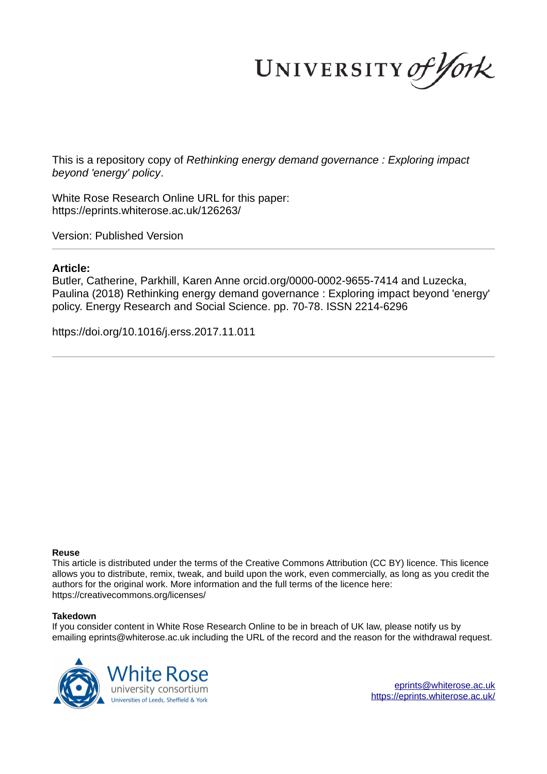UNIVERSITY of York

This is a repository copy of *Rethinking energy demand governance : Exploring impact beyond 'energy' policy*.

White Rose Research Online URL for this paper: https://eprints.whiterose.ac.uk/126263/

Version: Published Version

# **Article:**

Butler, Catherine, Parkhill, Karen Anne orcid.org/0000-0002-9655-7414 and Luzecka, Paulina (2018) Rethinking energy demand governance : Exploring impact beyond 'energy' policy. Energy Research and Social Science. pp. 70-78. ISSN 2214-6296

https://doi.org/10.1016/j.erss.2017.11.011

# **Reuse**

This article is distributed under the terms of the Creative Commons Attribution (CC BY) licence. This licence allows you to distribute, remix, tweak, and build upon the work, even commercially, as long as you credit the authors for the original work. More information and the full terms of the licence here: https://creativecommons.org/licenses/

# **Takedown**

If you consider content in White Rose Research Online to be in breach of UK law, please notify us by emailing eprints@whiterose.ac.uk including the URL of the record and the reason for the withdrawal request.

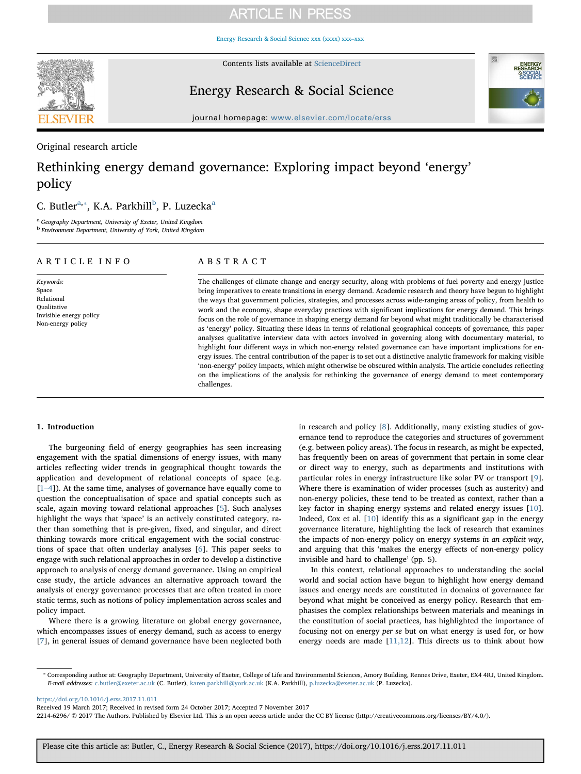Energy Research & Social Science xxx (xxxx) xxx–xxx



Contents lists available at ScienceDirect

# Energy Research & Social Science



journal homepage: www.elsevier.com/locate/erss

# Original research article

# Rethinking energy demand governance: Exploring impact beyond 'energy' policy

# C. Butler<sup>a,\*</sup>, K.A. Parkhill<sup>b</sup>, P. Luzecka<sup>a</sup>

a *Geography Department, University of Exeter, United Kingdom* b *Environment Department, University of York, United Kingdom*

# ARTICLE INFO

*Keywords:* Space Relational Qualitative Invisible energy policy Non-energy policy

# ABSTRACT

The challenges of climate change and energy security, along with problems of fuel poverty and energy justice bring imperatives to create transitions in energy demand. Academic research and theory have begun to highlight the ways that government policies, strategies, and processes across wide-ranging areas of policy, from health to work and the economy, shape everyday practices with significant implications for energy demand. This brings focus on the role of governance in shaping energy demand far beyond what might traditionally be characterised as 'energy' policy. Situating these ideas in terms of relational geographical concepts of governance, this paper analyses qualitative interview data with actors involved in governing along with documentary material, to highlight four different ways in which non-energy related governance can have important implications for energy issues. The central contribution of the paper is to set out a distinctive analytic framework for making visible 'non-energy' policy impacts, which might otherwise be obscured within analysis. The article concludes reflecting on the implications of the analysis for rethinking the governance of energy demand to meet contemporary challenges.

### 1. Introduction

The burgeoning field of energy geographies has seen increasing engagement with the spatial dimensions of energy issues, with many articles reflecting wider trends in geographical thought towards the application and development of relational concepts of space (e.g. [1–4]). At the same time, analyses of governance have equally come to question the conceptualisation of space and spatial concepts such as scale, again moving toward relational approaches [5]. Such analyses highlight the ways that 'space' is an actively constituted category, rather than something that is pre-given, fixed, and singular, and direct thinking towards more critical engagement with the social constructions of space that often underlay analyses [6]. This paper seeks to engage with such relational approaches in order to develop a distinctive approach to analysis of energy demand governance. Using an empirical case study, the article advances an alternative approach toward the analysis of energy governance processes that are often treated in more static terms, such as notions of policy implementation across scales and policy impact.

Where there is a growing literature on global energy governance, which encompasses issues of energy demand, such as access to energy [7], in general issues of demand governance have been neglected both in research and policy [8]. Additionally, many existing studies of governance tend to reproduce the categories and structures of government (e.g. between policy areas). The focus in research, as might be expected, has frequently been on areas of government that pertain in some clear or direct way to energy, such as departments and institutions with particular roles in energy infrastructure like solar PV or transport [9]. Where there is examination of wider processes (such as austerity) and non-energy policies, these tend to be treated as context, rather than a key factor in shaping energy systems and related energy issues [10]. Indeed, Cox et al. [10] identify this as a significant gap in the energy governance literature, highlighting the lack of research that examines the impacts of non-energy policy on energy systems *in an explicit way*, and arguing that this 'makes the energy effects of non-energy policy invisible and hard to challenge' (pp. 5).

In this context, relational approaches to understanding the social world and social action have begun to highlight how energy demand issues and energy needs are constituted in domains of governance far beyond what might be conceived as energy policy. Research that emphasises the complex relationships between materials and meanings in the constitution of social practices, has highlighted the importance of focusing not on energy *per se* but on what energy is used for, or how energy needs are made  $[11,12]$ . This directs us to think about how

https://doi.org/10.1016/j.erss.2017.11.011

Received 19 March 2017; Received in revised form 24 October 2017; Accepted 7 November 2017

2214-6296/ © 2017 The Authors. Published by Elsevier Ltd. This is an open access article under the CC BY license (http://creativecommons.org/licenses/BY/4.0/).

<sup>⁎</sup> Corresponding author at: Geography Department, University of Exeter, College of Life and Environmental Sciences, Amory Building, Rennes Drive, Exeter, EX4 4RJ, United Kingdom. *E-mail addresses:* c.butler@exeter.ac.uk (C. Butler), karen.parkhill@york.ac.uk (K.A. Parkhill), p.luzecka@exeter.ac.uk (P. Luzecka).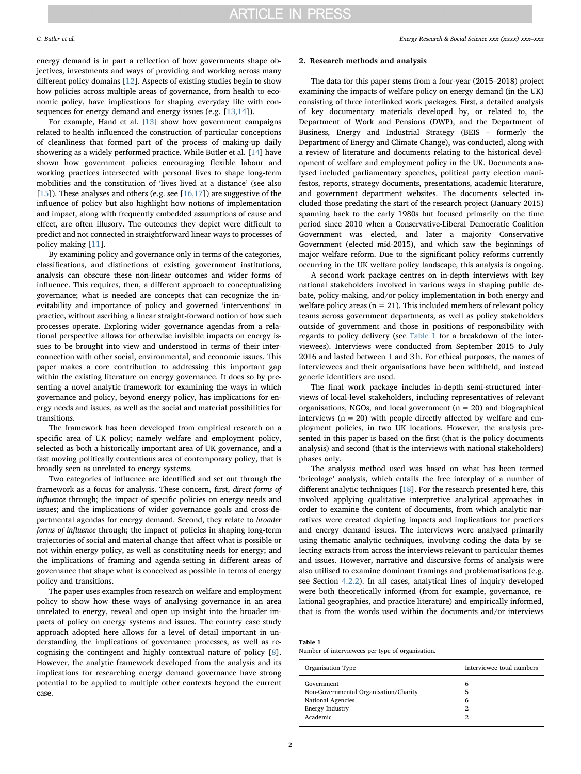*C. Butler et al. Energy Research & Social Science xxx (xxxx) xxx–xxx*

energy demand is in part a reflection of how governments shape objectives, investments and ways of providing and working across many different policy domains [12]. Aspects of existing studies begin to show how policies across multiple areas of governance, from health to economic policy, have implications for shaping everyday life with consequences for energy demand and energy issues (e.g. [13,14]).

For example, Hand et al. [13] show how government campaigns related to health influenced the construction of particular conceptions of cleanliness that formed part of the process of making-up daily showering as a widely performed practice. While Butler et al. [14] have shown how government policies encouraging flexible labour and working practices intersected with personal lives to shape long-term mobilities and the constitution of 'lives lived at a distance' (see also [15]). These analyses and others (e.g. see  $[16,17]$ ) are suggestive of the influence of policy but also highlight how notions of implementation and impact, along with frequently embedded assumptions of cause and effect, are often illusory. The outcomes they depict were difficult to predict and not connected in straightforward linear ways to processes of policy making [11].

By examining policy and governance only in terms of the categories, classifications, and distinctions of existing government institutions, analysis can obscure these non-linear outcomes and wider forms of influence. This requires, then, a different approach to conceptualizing governance; what is needed are concepts that can recognize the inevitability and importance of policy and governed 'interventions' in practice, without ascribing a linear straight-forward notion of how such processes operate. Exploring wider governance agendas from a relational perspective allows for otherwise invisible impacts on energy issues to be brought into view and understood in terms of their interconnection with other social, environmental, and economic issues. This paper makes a core contribution to addressing this important gap within the existing literature on energy governance. It does so by presenting a novel analytic framework for examining the ways in which governance and policy, beyond energy policy, has implications for energy needs and issues, as well as the social and material possibilities for transitions.

The framework has been developed from empirical research on a specific area of UK policy; namely welfare and employment policy, selected as both a historically important area of UK governance, and a fast moving politically contentious area of contemporary policy, that is broadly seen as unrelated to energy systems.

Two categories of influence are identified and set out through the framework as a focus for analysis. These concern, first, *direct forms of in*fl*uence* through; the impact of specific policies on energy needs and issues; and the implications of wider governance goals and cross-departmental agendas for energy demand. Second, they relate to *broader forms of in*fl*uence* through; the impact of policies in shaping long-term trajectories of social and material change that affect what is possible or not within energy policy, as well as constituting needs for energy; and the implications of framing and agenda-setting in different areas of governance that shape what is conceived as possible in terms of energy policy and transitions.

The paper uses examples from research on welfare and employment policy to show how these ways of analysing governance in an area unrelated to energy, reveal and open up insight into the broader impacts of policy on energy systems and issues. The country case study approach adopted here allows for a level of detail important in understanding the implications of governance processes, as well as recognising the contingent and highly contextual nature of policy [8]. However, the analytic framework developed from the analysis and its implications for researching energy demand governance have strong potential to be applied to multiple other contexts beyond the current case.

### 2. Research methods and analysis

The data for this paper stems from a four-year (2015–2018) project examining the impacts of welfare policy on energy demand (in the UK) consisting of three interlinked work packages. First, a detailed analysis of key documentary materials developed by, or related to, the Department of Work and Pensions (DWP), and the Department of Business, Energy and Industrial Strategy (BEIS – formerly the Department of Energy and Climate Change), was conducted, along with a review of literature and documents relating to the historical development of welfare and employment policy in the UK. Documents analysed included parliamentary speeches, political party election manifestos, reports, strategy documents, presentations, academic literature, and government department websites. The documents selected included those predating the start of the research project (January 2015) spanning back to the early 1980s but focused primarily on the time period since 2010 when a Conservative-Liberal Democratic Coalition Government was elected, and later a majority Conservative Government (elected mid-2015), and which saw the beginnings of major welfare reform. Due to the significant policy reforms currently occurring in the UK welfare policy landscape, this analysis is ongoing.

A second work package centres on in-depth interviews with key national stakeholders involved in various ways in shaping public debate, policy-making, and/or policy implementation in both energy and welfare policy areas ( $n = 21$ ). This included members of relevant policy teams across government departments, as well as policy stakeholders outside of government and those in positions of responsibility with regards to policy delivery (see Table 1 for a breakdown of the interviewees). Interviews were conducted from September 2015 to July 2016 and lasted between 1 and 3 h. For ethical purposes, the names of interviewees and their organisations have been withheld, and instead generic identifiers are used.

The final work package includes in-depth semi-structured interviews of local-level stakeholders, including representatives of relevant organisations, NGOs, and local government  $(n = 20)$  and biographical interviews  $(n = 20)$  with people directly affected by welfare and employment policies, in two UK locations. However, the analysis presented in this paper is based on the first (that is the policy documents analysis) and second (that is the interviews with national stakeholders) phases only.

The analysis method used was based on what has been termed 'bricolage' analysis, which entails the free interplay of a number of different analytic techniques [18]. For the research presented here, this involved applying qualitative interpretive analytical approaches in order to examine the content of documents, from which analytic narratives were created depicting impacts and implications for practices and energy demand issues. The interviews were analysed primarily using thematic analytic techniques, involving coding the data by selecting extracts from across the interviews relevant to particular themes and issues. However, narrative and discursive forms of analysis were also utilised to examine dominant framings and problematisations (e.g. see Section 4.2.2). In all cases, analytical lines of inquiry developed were both theoretically informed (from for example, governance, relational geographies, and practice literature) and empirically informed, that is from the words used within the documents and/or interviews

| Table 1 |                                                                                                                                                                                                                                       |  |  |
|---------|---------------------------------------------------------------------------------------------------------------------------------------------------------------------------------------------------------------------------------------|--|--|
|         | $\mathbf{A}$ to see the set of the term there are no set that $\mathbf{c}$ is a set of the set of the set of the set of the set of the set of the set of the set of the set of the set of the set of the set of the set of the set of |  |  |

| Organisation Type                     | Interviewee total numbers |  |  |
|---------------------------------------|---------------------------|--|--|
| Government                            | 6                         |  |  |
| Non-Governmental Organisation/Charity | 5                         |  |  |
| National Agencies                     | 6                         |  |  |
| Energy Industry                       | 2                         |  |  |
| Academic                              | $\mathfrak{D}$            |  |  |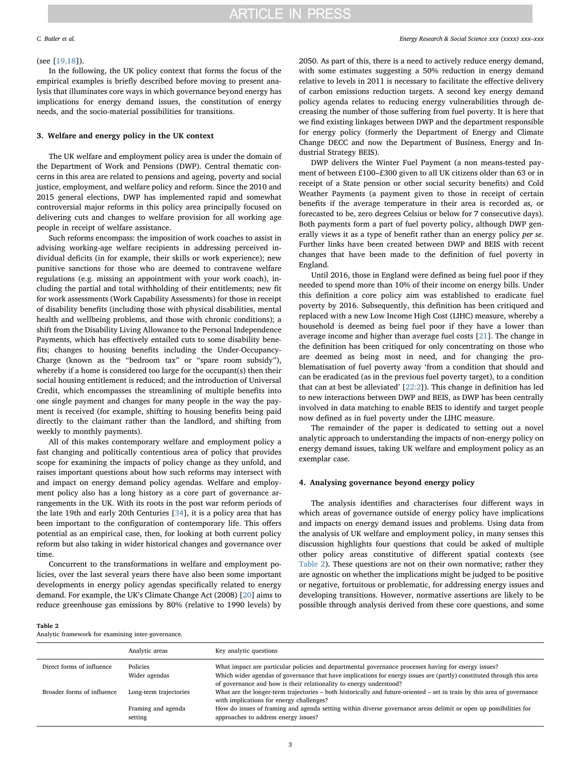### (see [19,18]).

In the following, the UK policy context that forms the focus of the empirical examples is briefly described before moving to present analysis that illuminates core ways in which governance beyond energy has implications for energy demand issues, the constitution of energy needs, and the socio-material possibilities for transitions.

## 3. Welfare and energy policy in the UK context

The UK welfare and employment policy area is under the domain of the Department of Work and Pensions (DWP). Central thematic concerns in this area are related to pensions and ageing, poverty and social justice, employment, and welfare policy and reform. Since the 2010 and 2015 general elections, DWP has implemented rapid and somewhat controversial major reforms in this policy area principally focused on delivering cuts and changes to welfare provision for all working age people in receipt of welfare assistance.

Such reforms encompass: the imposition of work coaches to assist in advising working-age welfare recipients in addressing perceived individual deficits (in for example, their skills or work experience); new punitive sanctions for those who are deemed to contravene welfare regulations (e.g. missing an appointment with your work coach), including the partial and total withholding of their entitlements; new fit for work assessments (Work Capability Assessments) for those in receipt of disability benefits (including those with physical disabilities, mental health and wellbeing problems, and those with chronic conditions); a shift from the Disability Living Allowance to the Personal Independence Payments, which has effectively entailed cuts to some disability benefits; changes to housing benefits including the Under-Occupancy-Charge (known as the "bedroom tax" or "spare room subsidy"), whereby if a home is considered too large for the occupant(s) then their social housing entitlement is reduced; and the introduction of Universal Credit, which encompasses the streamlining of multiple benefits into one single payment and changes for many people in the way the payment is received (for example, shifting to housing benefits being paid directly to the claimant rather than the landlord, and shifting from weekly to monthly payments).

All of this makes contemporary welfare and employment policy a fast changing and politically contentious area of policy that provides scope for examining the impacts of policy change as they unfold, and raises important questions about how such reforms may intersect with and impact on energy demand policy agendas. Welfare and employment policy also has a long history as a core part of governance arrangements in the UK. With its roots in the post war reform periods of the late 19th and early 20th Centuries [34], it is a policy area that has been important to the configuration of contemporary life. This offers potential as an empirical case, then, for looking at both current policy reform but also taking in wider historical changes and governance over time.

Concurrent to the transformations in welfare and employment policies, over the last several years there have also been some important developments in energy policy agendas specifically related to energy demand. For example, the UK's Climate Change Act (2008) [20] aims to reduce greenhouse gas emissions by 80% (relative to 1990 levels) by

2050. As part of this, there is a need to actively reduce energy demand, with some estimates suggesting a 50% reduction in energy demand relative to levels in 2011 is necessary to facilitate the effective delivery of carbon emissions reduction targets. A second key energy demand policy agenda relates to reducing energy vulnerabilities through decreasing the number of those suffering from fuel poverty. It is here that we find existing linkages between DWP and the department responsible for energy policy (formerly the Department of Energy and Climate Change DECC and now the Department of Business, Energy and Industrial Strategy BEIS).

DWP delivers the Winter Fuel Payment (a non means-tested payment of between £100–£300 given to all UK citizens older than 63 or in receipt of a State pension or other social security benefits) and Cold Weather Payments (a payment given to those in receipt of certain benefits if the average temperature in their area is recorded as, or forecasted to be, zero degrees Celsius or below for 7 consecutive days). Both payments form a part of fuel poverty policy, although DWP generally views it as a type of benefit rather than an energy policy *per se*. Further links have been created between DWP and BEIS with recent changes that have been made to the definition of fuel poverty in England.

Until 2016, those in England were defined as being fuel poor if they needed to spend more than 10% of their income on energy bills. Under this definition a core policy aim was established to eradicate fuel poverty by 2016. Subsequently, this definition has been critiqued and replaced with a new Low Income High Cost (LIHC) measure, whereby a household is deemed as being fuel poor if they have a lower than average income and higher than average fuel costs [21]. The change in the definition has been critiqued for only concentrating on those who are deemed as being most in need, and for changing the problematisation of fuel poverty away 'from a condition that should and can be eradicated (as in the previous fuel poverty target), to a condition that can at best be alleviated' [22:2]). This change in definition has led to new interactions between DWP and BEIS, as DWP has been centrally involved in data matching to enable BEIS to identify and target people now defined as in fuel poverty under the LIHC measure.

The remainder of the paper is dedicated to setting out a novel analytic approach to understanding the impacts of non-energy policy on energy demand issues, taking UK welfare and employment policy as an exemplar case.

## 4. Analysing governance beyond energy policy

The analysis identifies and characterises four different ways in which areas of governance outside of energy policy have implications and impacts on energy demand issues and problems. Using data from the analysis of UK welfare and employment policy, in many senses this discussion highlights four questions that could be asked of multiple other policy areas constitutive of different spatial contexts (see Table 2). These questions are not on their own normative; rather they are agnostic on whether the implications might be judged to be positive or negative, fortuitous or problematic, for addressing energy issues and developing transitions. However, normative assertions are likely to be possible through analysis derived from these core questions, and some

Table 2

Analytic framework for examining inter-governance.

|                            | Analytic areas                | Key analytic questions                                                                                                                                                                                                       |  |
|----------------------------|-------------------------------|------------------------------------------------------------------------------------------------------------------------------------------------------------------------------------------------------------------------------|--|
| Direct forms of influence  | Policies<br>Wider agendas     | What impact are particular policies and departmental governance processes having for energy issues?<br>Which wider agendas of governance that have implications for energy issues are (partly) constituted through this area |  |
|                            |                               | of governance and how is their relationality to energy understood?                                                                                                                                                           |  |
| Broader forms of influence | Long-term trajectories        | What are the longer-term trajectories – both historically and future-oriented – set in train by this area of governance<br>with implications for energy challenges?                                                          |  |
|                            | Framing and agenda<br>setting | How do issues of framing and agenda setting within diverse governance areas delimit or open up possibilities for<br>approaches to address energy issues?                                                                     |  |
|                            |                               |                                                                                                                                                                                                                              |  |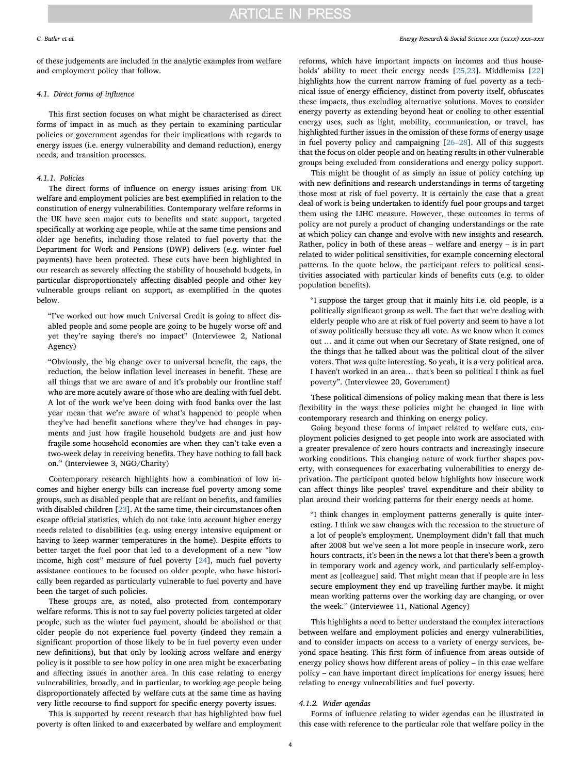of these judgements are included in the analytic examples from welfare and employment policy that follow.

## *4.1. Direct forms of in*fl*uence*

This first section focuses on what might be characterised as direct forms of impact in as much as they pertain to examining particular policies or government agendas for their implications with regards to energy issues (i.e. energy vulnerability and demand reduction), energy needs, and transition processes.

## *4.1.1. Policies*

The direct forms of influence on energy issues arising from UK welfare and employment policies are best exemplified in relation to the constitution of energy vulnerabilities. Contemporary welfare reforms in the UK have seen major cuts to benefits and state support, targeted specifically at working age people, while at the same time pensions and older age benefits, including those related to fuel poverty that the Department for Work and Pensions (DWP) delivers (e.g. winter fuel payments) have been protected. These cuts have been highlighted in our research as severely affecting the stability of household budgets, in particular disproportionately affecting disabled people and other key vulnerable groups reliant on support, as exemplified in the quotes below.

"I've worked out how much Universal Credit is going to affect disabled people and some people are going to be hugely worse off and yet they're saying there's no impact" (Interviewee 2, National Agency)

"Obviously, the big change over to universal benefit, the caps, the reduction, the below inflation level increases in benefit. These are all things that we are aware of and it's probably our frontline staff who are more acutely aware of those who are dealing with fuel debt. A lot of the work we've been doing with food banks over the last year mean that we're aware of what's happened to people when they've had benefit sanctions where they've had changes in payments and just how fragile household budgets are and just how fragile some household economies are when they can't take even a two-week delay in receiving benefits. They have nothing to fall back on." (Interviewee 3, NGO/Charity)

Contemporary research highlights how a combination of low incomes and higher energy bills can increase fuel poverty among some groups, such as disabled people that are reliant on benefits, and families with disabled children [23]. At the same time, their circumstances often escape official statistics, which do not take into account higher energy needs related to disabilities (e.g. using energy intensive equipment or having to keep warmer temperatures in the home). Despite efforts to better target the fuel poor that led to a development of a new "low income, high cost" measure of fuel poverty [24], much fuel poverty assistance continues to be focused on older people, who have historically been regarded as particularly vulnerable to fuel poverty and have been the target of such policies.

These groups are, as noted, also protected from contemporary welfare reforms. This is not to say fuel poverty policies targeted at older people, such as the winter fuel payment, should be abolished or that older people do not experience fuel poverty (indeed they remain a significant proportion of those likely to be in fuel poverty even under new definitions), but that only by looking across welfare and energy policy is it possible to see how policy in one area might be exacerbating and affecting issues in another area. In this case relating to energy vulnerabilities, broadly, and in particular, to working age people being disproportionately affected by welfare cuts at the same time as having very little recourse to find support for specific energy poverty issues.

This is supported by recent research that has highlighted how fuel poverty is often linked to and exacerbated by welfare and employment reforms, which have important impacts on incomes and thus households' ability to meet their energy needs [25,23]. Middlemiss [22] highlights how the current narrow framing of fuel poverty as a technical issue of energy efficiency, distinct from poverty itself, obfuscates these impacts, thus excluding alternative solutions. Moves to consider energy poverty as extending beyond heat or cooling to other essential energy uses, such as light, mobility, communication, or travel, has highlighted further issues in the omission of these forms of energy usage in fuel poverty policy and campaigning [26–28]. All of this suggests that the focus on older people and on heating results in other vulnerable groups being excluded from considerations and energy policy support.

This might be thought of as simply an issue of policy catching up with new definitions and research understandings in terms of targeting those most at risk of fuel poverty. It is certainly the case that a great deal of work is being undertaken to identify fuel poor groups and target them using the LIHC measure. However, these outcomes in terms of policy are not purely a product of changing understandings or the rate at which policy can change and evolve with new insights and research. Rather, policy in both of these areas – welfare and energy – is in part related to wider political sensitivities, for example concerning electoral patterns. In the quote below, the participant refers to political sensitivities associated with particular kinds of benefits cuts (e.g. to older population benefits).

"I suppose the target group that it mainly hits i.e. old people, is a politically significant group as well. The fact that we're dealing with elderly people who are at risk of fuel poverty and seem to have a lot of sway politically because they all vote. As we know when it comes out … and it came out when our Secretary of State resigned, one of the things that he talked about was the political clout of the silver voters. That was quite interesting. So yeah, it is a very political area. I haven't worked in an area… that's been so political I think as fuel poverty". (Interviewee 20, Government)

These political dimensions of policy making mean that there is less flexibility in the ways these policies might be changed in line with contemporary research and thinking on energy policy.

Going beyond these forms of impact related to welfare cuts, employment policies designed to get people into work are associated with a greater prevalence of zero hours contracts and increasingly insecure working conditions. This changing nature of work further shapes poverty, with consequences for exacerbating vulnerabilities to energy deprivation. The participant quoted below highlights how insecure work can affect things like peoples' travel expenditure and their ability to plan around their working patterns for their energy needs at home.

"I think changes in employment patterns generally is quite interesting. I think we saw changes with the recession to the structure of a lot of people's employment. Unemployment didn't fall that much after 2008 but we've seen a lot more people in insecure work, zero hours contracts, it's been in the news a lot that there's been a growth in temporary work and agency work, and particularly self-employment as [colleague] said. That might mean that if people are in less secure employment they end up travelling further maybe. It might mean working patterns over the working day are changing, or over the week." (Interviewee 11, National Agency)

This highlights a need to better understand the complex interactions between welfare and employment policies and energy vulnerabilities, and to consider impacts on access to a variety of energy services, beyond space heating. This first form of influence from areas outside of energy policy shows how different areas of policy – in this case welfare policy – can have important direct implications for energy issues; here relating to energy vulnerabilities and fuel poverty.

### *4.1.2. Wider agendas*

Forms of influence relating to wider agendas can be illustrated in this case with reference to the particular role that welfare policy in the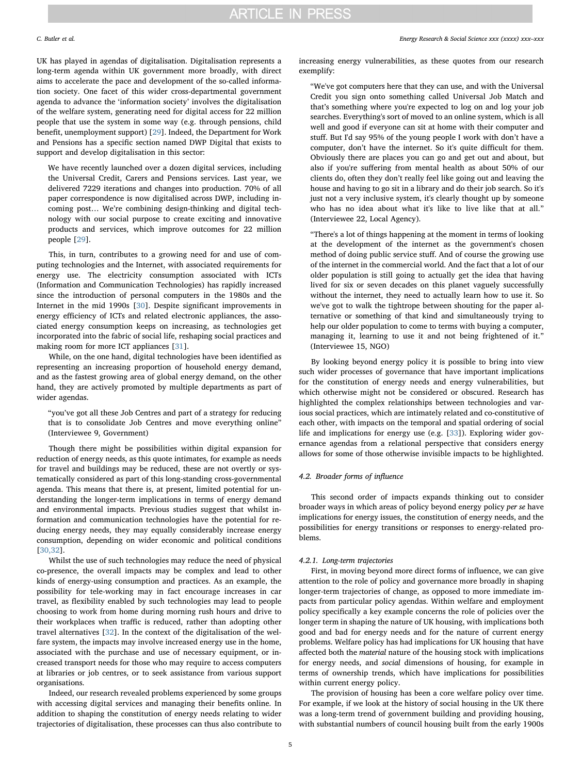UK has played in agendas of digitalisation. Digitalisation represents a long-term agenda within UK government more broadly, with direct aims to accelerate the pace and development of the so-called information society. One facet of this wider cross-departmental government agenda to advance the 'information society' involves the digitalisation of the welfare system, generating need for digital access for 22 million people that use the system in some way (e.g. through pensions, child benefit, unemployment support) [29]. Indeed, the Department for Work and Pensions has a specific section named DWP Digital that exists to support and develop digitalisation in this sector:

We have recently launched over a dozen digital services, including the Universal Credit, Carers and Pensions services. Last year, we delivered 7229 iterations and changes into production. 70% of all paper correspondence is now digitalised across DWP, including incoming post… We're combining design-thinking and digital technology with our social purpose to create exciting and innovative products and services, which improve outcomes for 22 million people [29].

This, in turn, contributes to a growing need for and use of computing technologies and the Internet, with associated requirements for energy use. The electricity consumption associated with ICTs (Information and Communication Technologies) has rapidly increased since the introduction of personal computers in the 1980s and the Internet in the mid 1990s [30]. Despite significant improvements in energy efficiency of ICTs and related electronic appliances, the associated energy consumption keeps on increasing, as technologies get incorporated into the fabric of social life, reshaping social practices and making room for more ICT appliances [31].

While, on the one hand, digital technologies have been identified as representing an increasing proportion of household energy demand, and as the fastest growing area of global energy demand, on the other hand, they are actively promoted by multiple departments as part of wider agendas.

"you've got all these Job Centres and part of a strategy for reducing that is to consolidate Job Centres and move everything online" (Interviewee 9, Government)

Though there might be possibilities within digital expansion for reduction of energy needs, as this quote intimates, for example as needs for travel and buildings may be reduced, these are not overtly or systematically considered as part of this long-standing cross-governmental agenda. This means that there is, at present, limited potential for understanding the longer-term implications in terms of energy demand and environmental impacts. Previous studies suggest that whilst information and communication technologies have the potential for reducing energy needs, they may equally considerably increase energy consumption, depending on wider economic and political conditions [30,32].

Whilst the use of such technologies may reduce the need of physical co-presence, the overall impacts may be complex and lead to other kinds of energy-using consumption and practices. As an example, the possibility for tele-working may in fact encourage increases in car travel, as flexibility enabled by such technologies may lead to people choosing to work from home during morning rush hours and drive to their workplaces when traffic is reduced, rather than adopting other travel alternatives [32]. In the context of the digitalisation of the welfare system, the impacts may involve increased energy use in the home, associated with the purchase and use of necessary equipment, or increased transport needs for those who may require to access computers at libraries or job centres, or to seek assistance from various support organisations.

Indeed, our research revealed problems experienced by some groups with accessing digital services and managing their benefits online. In addition to shaping the constitution of energy needs relating to wider trajectories of digitalisation, these processes can thus also contribute to increasing energy vulnerabilities, as these quotes from our research exemplify:

"We've got computers here that they can use, and with the Universal Credit you sign onto something called Universal Job Match and that's something where you're expected to log on and log your job searches. Everything's sort of moved to an online system, which is all well and good if everyone can sit at home with their computer and stuff. But I'd say 95% of the young people I work with don't have a computer, don't have the internet. So it's quite difficult for them. Obviously there are places you can go and get out and about, but also if you're suffering from mental health as about 50% of our clients do, often they don't really feel like going out and leaving the house and having to go sit in a library and do their job search. So it's just not a very inclusive system, it's clearly thought up by someone who has no idea about what it's like to live like that at all." (Interviewee 22, Local Agency).

"There's a lot of things happening at the moment in terms of looking at the development of the internet as the government's chosen method of doing public service stuff. And of course the growing use of the internet in the commercial world. And the fact that a lot of our older population is still going to actually get the idea that having lived for six or seven decades on this planet vaguely successfully without the internet, they need to actually learn how to use it. So we've got to walk the tightrope between shouting for the paper alternative or something of that kind and simultaneously trying to help our older population to come to terms with buying a computer, managing it, learning to use it and not being frightened of it." (Interviewee 15, NGO)

By looking beyond energy policy it is possible to bring into view such wider processes of governance that have important implications for the constitution of energy needs and energy vulnerabilities, but which otherwise might not be considered or obscured. Research has highlighted the complex relationships between technologies and various social practices, which are intimately related and co-constitutive of each other, with impacts on the temporal and spatial ordering of social life and implications for energy use (e.g. [33]). Exploring wider governance agendas from a relational perspective that considers energy allows for some of those otherwise invisible impacts to be highlighted.

## *4.2. Broader forms of in*fl*uence*

This second order of impacts expands thinking out to consider broader ways in which areas of policy beyond energy policy *per se* have implications for energy issues, the constitution of energy needs, and the possibilities for energy transitions or responses to energy-related problems.

## *4.2.1. Long-term trajectories*

First, in moving beyond more direct forms of influence, we can give attention to the role of policy and governance more broadly in shaping longer-term trajectories of change, as opposed to more immediate impacts from particular policy agendas. Within welfare and employment policy specifically a key example concerns the role of policies over the longer term in shaping the nature of UK housing, with implications both good and bad for energy needs and for the nature of current energy problems. Welfare policy has had implications for UK housing that have affected both the *material* nature of the housing stock with implications for energy needs, and *social* dimensions of housing, for example in terms of ownership trends, which have implications for possibilities within current energy policy.

The provision of housing has been a core welfare policy over time. For example, if we look at the history of social housing in the UK there was a long-term trend of government building and providing housing, with substantial numbers of council housing built from the early 1900s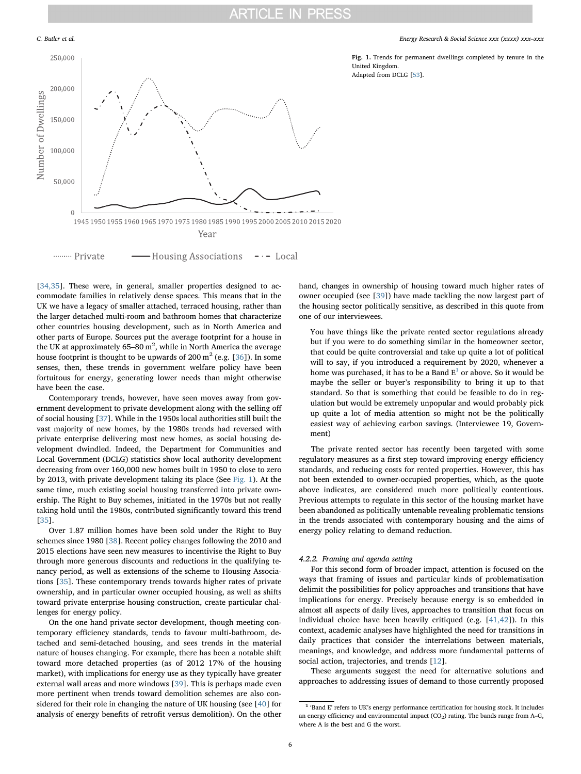

Fig. 1. Trends for permanent dwellings completed by tenure in the United Kingdom. Adapted from DCLG [53].

[34,35]. These were, in general, smaller properties designed to accommodate families in relatively dense spaces. This means that in the UK we have a legacy of smaller attached, terraced housing, rather than the larger detached multi-room and bathroom homes that characterize other countries housing development, such as in North America and other parts of Europe. Sources put the average footprint for a house in the UK at approximately 65–80  $\text{m}^2$ , while in North America the average house footprint is thought to be upwards of 200  $\mathrm{m}^2$  (e.g. [36]). In some senses, then, these trends in government welfare policy have been fortuitous for energy, generating lower needs than might otherwise have been the case.

Contemporary trends, however, have seen moves away from government development to private development along with the selling off of social housing [37]. While in the 1950s local authorities still built the vast majority of new homes, by the 1980s trends had reversed with private enterprise delivering most new homes, as social housing development dwindled. Indeed, the Department for Communities and Local Government (DCLG) statistics show local authority development decreasing from over 160,000 new homes built in 1950 to close to zero by 2013, with private development taking its place (See Fig. 1). At the same time, much existing social housing transferred into private ownership. The Right to Buy schemes, initiated in the 1970s but not really taking hold until the 1980s, contributed significantly toward this trend [35].

Over 1.87 million homes have been sold under the Right to Buy schemes since 1980 [38]. Recent policy changes following the 2010 and 2015 elections have seen new measures to incentivise the Right to Buy through more generous discounts and reductions in the qualifying tenancy period, as well as extensions of the scheme to Housing Associations [35]. These contemporary trends towards higher rates of private ownership, and in particular owner occupied housing, as well as shifts toward private enterprise housing construction, create particular challenges for energy policy.

On the one hand private sector development, though meeting contemporary efficiency standards, tends to favour multi-bathroom, detached and semi-detached housing, and sees trends in the material nature of houses changing. For example, there has been a notable shift toward more detached properties (as of 2012 17% of the housing market), with implications for energy use as they typically have greater external wall areas and more windows [39]. This is perhaps made even more pertinent when trends toward demolition schemes are also considered for their role in changing the nature of UK housing (see [40] for analysis of energy benefits of retrofit versus demolition). On the other hand, changes in ownership of housing toward much higher rates of owner occupied (see [39]) have made tackling the now largest part of the housing sector politically sensitive, as described in this quote from one of our interviewees.

You have things like the private rented sector regulations already but if you were to do something similar in the homeowner sector, that could be quite controversial and take up quite a lot of political will to say, if you introduced a requirement by 2020, whenever a home was purchased, it has to be a Band  $\texttt{E}^1$  or above. So it would be maybe the seller or buyer's responsibility to bring it up to that standard. So that is something that could be feasible to do in regulation but would be extremely unpopular and would probably pick up quite a lot of media attention so might not be the politically easiest way of achieving carbon savings. (Interviewee 19, Government)

The private rented sector has recently been targeted with some regulatory measures as a first step toward improving energy efficiency standards, and reducing costs for rented properties. However, this has not been extended to owner-occupied properties, which, as the quote above indicates, are considered much more politically contentious. Previous attempts to regulate in this sector of the housing market have been abandoned as politically untenable revealing problematic tensions in the trends associated with contemporary housing and the aims of energy policy relating to demand reduction.

## *4.2.2. Framing and agenda setting*

For this second form of broader impact, attention is focused on the ways that framing of issues and particular kinds of problematisation delimit the possibilities for policy approaches and transitions that have implications for energy. Precisely because energy is so embedded in almost all aspects of daily lives, approaches to transition that focus on individual choice have been heavily critiqued (e.g. [41,42]). In this context, academic analyses have highlighted the need for transitions in daily practices that consider the interrelations between materials, meanings, and knowledge, and address more fundamental patterns of social action, trajectories, and trends [12].

These arguments suggest the need for alternative solutions and approaches to addressing issues of demand to those currently proposed

<sup>&</sup>lt;sup>1</sup> 'Band E' refers to UK's energy performance certification for housing stock. It includes an energy efficiency and environmental impact  $(CO<sub>2</sub>)$  rating. The bands range from A–G, where A is the best and G the worst.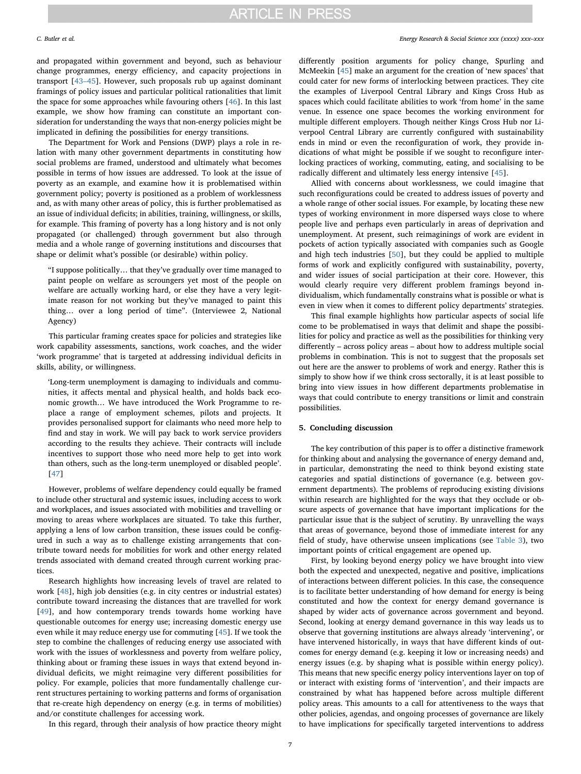and propagated within government and beyond, such as behaviour change programmes, energy efficiency, and capacity projections in transport [43–45]. However, such proposals rub up against dominant framings of policy issues and particular political rationalities that limit the space for some approaches while favouring others [46]. In this last example, we show how framing can constitute an important consideration for understanding the ways that non-energy policies might be implicated in defining the possibilities for energy transitions.

The Department for Work and Pensions (DWP) plays a role in relation with many other government departments in constituting how social problems are framed, understood and ultimately what becomes possible in terms of how issues are addressed. To look at the issue of poverty as an example, and examine how it is problematised within government policy; poverty is positioned as a problem of worklessness and, as with many other areas of policy, this is further problematised as an issue of individual deficits; in abilities, training, willingness, or skills, for example. This framing of poverty has a long history and is not only propagated (or challenged) through government but also through media and a whole range of governing institutions and discourses that shape or delimit what's possible (or desirable) within policy.

"I suppose politically… that they've gradually over time managed to paint people on welfare as scroungers yet most of the people on welfare are actually working hard, or else they have a very legitimate reason for not working but they've managed to paint this thing… over a long period of time". (Interviewee 2, National Agency)

This particular framing creates space for policies and strategies like work capability assessments, sanctions, work coaches, and the wider 'work programme' that is targeted at addressing individual deficits in skills, ability, or willingness.

'Long-term unemployment is damaging to individuals and communities, it affects mental and physical health, and holds back economic growth… We have introduced the Work Programme to replace a range of employment schemes, pilots and projects. It provides personalised support for claimants who need more help to find and stay in work. We will pay back to work service providers according to the results they achieve. Their contracts will include incentives to support those who need more help to get into work than others, such as the long-term unemployed or disabled people'. [47]

However, problems of welfare dependency could equally be framed to include other structural and systemic issues, including access to work and workplaces, and issues associated with mobilities and travelling or moving to areas where workplaces are situated. To take this further, applying a lens of low carbon transition, these issues could be configured in such a way as to challenge existing arrangements that contribute toward needs for mobilities for work and other energy related trends associated with demand created through current working practices.

Research highlights how increasing levels of travel are related to work [48], high job densities (e.g. in city centres or industrial estates) contribute toward increasing the distances that are travelled for work [49], and how contemporary trends towards home working have questionable outcomes for energy use; increasing domestic energy use even while it may reduce energy use for commuting [45]. If we took the step to combine the challenges of reducing energy use associated with work with the issues of worklessness and poverty from welfare policy, thinking about or framing these issues in ways that extend beyond individual deficits, we might reimagine very different possibilities for policy. For example, policies that more fundamentally challenge current structures pertaining to working patterns and forms of organisation that re-create high dependency on energy (e.g. in terms of mobilities) and/or constitute challenges for accessing work.

In this regard, through their analysis of how practice theory might

lities for policy and practice as well as the possibilities for thinking very differently – across policy areas – about how to address multiple social problems in combination. This is not to suggest that the proposals set out here are the answer to problems of work and energy. Rather this is simply to show how if we think cross sectorally, it is at least possible to bring into view issues in how different departments problematise in ways that could contribute to energy transitions or limit and constrain possibilities.

# 5. Concluding discussion

The key contribution of this paper is to offer a distinctive framework for thinking about and analysing the governance of energy demand and, in particular, demonstrating the need to think beyond existing state categories and spatial distinctions of governance (e.g. between government departments). The problems of reproducing existing divisions within research are highlighted for the ways that they occlude or obscure aspects of governance that have important implications for the particular issue that is the subject of scrutiny. By unravelling the ways that areas of governance, beyond those of immediate interest for any field of study, have otherwise unseen implications (see Table 3), two important points of critical engagement are opened up.

First, by looking beyond energy policy we have brought into view both the expected and unexpected, negative and positive, implications of interactions between different policies. In this case, the consequence is to facilitate better understanding of how demand for energy is being constituted and how the context for energy demand governance is shaped by wider acts of governance across government and beyond. Second, looking at energy demand governance in this way leads us to observe that governing institutions are always already 'intervening', or have intervened historically, in ways that have different kinds of outcomes for energy demand (e.g. keeping it low or increasing needs) and energy issues (e.g. by shaping what is possible within energy policy). This means that new specific energy policy interventions layer on top of or interact with existing forms of 'intervention', and their impacts are constrained by what has happened before across multiple different policy areas. This amounts to a call for attentiveness to the ways that other policies, agendas, and ongoing processes of governance are likely to have implications for specifically targeted interventions to address

*C. Butler et al. Energy Research & Social Science xxx (xxxx) xxx–xxx*

differently position arguments for policy change, Spurling and McMeekin [45] make an argument for the creation of 'new spaces' that could cater for new forms of interlocking between practices. They cite the examples of Liverpool Central Library and Kings Cross Hub as spaces which could facilitate abilities to work 'from home' in the same venue. In essence one space becomes the working environment for multiple different employers. Though neither Kings Cross Hub nor Liverpool Central Library are currently configured with sustainability ends in mind or even the reconfiguration of work, they provide indications of what might be possible if we sought to reconfigure interlocking practices of working, commuting, eating, and socialising to be

radically different and ultimately less energy intensive [45].

Allied with concerns about worklessness, we could imagine that such reconfigurations could be created to address issues of poverty and a whole range of other social issues. For example, by locating these new types of working environment in more dispersed ways close to where people live and perhaps even particularly in areas of deprivation and unemployment. At present, such reimaginings of work are evident in pockets of action typically associated with companies such as Google and high tech industries [50], but they could be applied to multiple forms of work and explicitly configured with sustainability, poverty, and wider issues of social participation at their core. However, this would clearly require very different problem framings beyond individualism, which fundamentally constrains what is possible or what is even in view when it comes to different policy departments' strategies. This final example highlights how particular aspects of social life come to be problematised in ways that delimit and shape the possibi-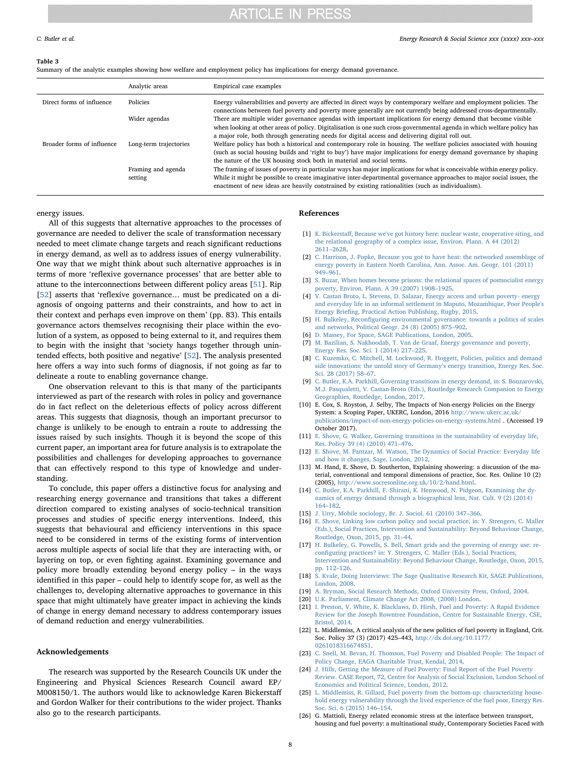### Table 3

Summary of the analytic examples showing how welfare and employment policy has implications for energy demand governance.

|                            | Analytic areas         | Empirical case examples                                                                                                                                                                                                                    |
|----------------------------|------------------------|--------------------------------------------------------------------------------------------------------------------------------------------------------------------------------------------------------------------------------------------|
| Direct forms of influence  | Policies               | Energy vulnerabilities and poverty are affected in direct ways by contemporary welfare and employment policies. The<br>connections between fuel poverty and poverty more generally are not currently being addressed cross-departmentally. |
|                            | Wider agendas          | There are multiple wider governance agendas with important implications for energy demand that become visible<br>when looking at other areas of policy. Digitalisation is one such cross-governmental agenda in which welfare policy has   |
|                            |                        | a major role, both through generating needs for digital access and delivering digital roll out.                                                                                                                                            |
| Broader forms of influence | Long-term trajectories | Welfare policy has both a historical and contemporary role in housing. The welfare policies associated with housing                                                                                                                        |
|                            |                        | (such as social housing builds and 'right to buy') have major implications for energy demand governance by shaping                                                                                                                         |
|                            |                        | the nature of the UK housing stock both in material and social terms.                                                                                                                                                                      |
|                            | Framing and agenda     | The framing of issues of poverty in particular ways has major implications for what is conceivable within energy policy.                                                                                                                   |
|                            | setting                | While it might be possible to create imaginative inter-departmental governance approaches to major social issues, the                                                                                                                      |
|                            |                        | enactment of new ideas are heavily constrained by existing rationalities (such as individualism).                                                                                                                                          |

energy issues.

All of this suggests that alternative approaches to the processes of governance are needed to deliver the scale of transformation necessary needed to meet climate change targets and reach significant reductions in energy demand, as well as to address issues of energy vulnerability. One way that we might think about such alternative approaches is in terms of more 'reflexive governance processes' that are better able to attune to the interconnections between different policy areas [51]. Rip [52] asserts that 'reflexive governance... must be predicated on a diagnosis of ongoing patterns and their constraints, and how to act in their context and perhaps even improve on them' (pp. 83). This entails governance actors themselves recognising their place within the evolution of a system, as opposed to being external to it, and requires them to begin with the insight that 'society hangs together through unintended effects, both positive and negative' [52]. The analysis presented here offers a way into such forms of diagnosis, if not going as far to delineate a route to enabling governance change.

One observation relevant to this is that many of the participants interviewed as part of the research with roles in policy and governance do in fact reflect on the deleterious effects of policy across different areas. This suggests that diagnosis, though an important precursor to change is unlikely to be enough to entrain a route to addressing the issues raised by such insights. Though it is beyond the scope of this current paper, an important area for future analysis is to extrapolate the possibilities and challenges for developing approaches to governance that can effectively respond to this type of knowledge and understanding.

To conclude, this paper offers a distinctive focus for analysing and researching energy governance and transitions that takes a different direction compared to existing analyses of socio-technical transition processes and studies of specific energy interventions. Indeed, this suggests that behavioural and efficiency interventions in this space need to be considered in terms of the existing forms of intervention across multiple aspects of social life that they are interacting with, or layering on top, or even fighting against. Examining governance and policy more broadly extending beyond energy policy – in the ways identified in this paper – could help to identify scope for, as well as the challenges to, developing alternative approaches to governance in this space that might ultimately have greater impact in achieving the kinds of change in energy demand necessary to address contemporary issues of demand reduction and energy vulnerabilities.

## Acknowledgements

The research was supported by the Research Councils UK under the Engineering and Physical Sciences Research Council award EP/ M008150/1. The authors would like to acknowledge Karen Bickerstaff and Gordon Walker for their contributions to the wider project. Thanks also go to the research participants.

### References

- [1] K. Bickerstaff, Because we've got history here: nuclear waste, cooperative siting, and the relational geography of a complex issue, Environ. Plann. A 44 (2012) 2611–2628.
- [2] C. Harrison, J. Popke, Because you got to have heat: the networked assemblage of energy poverty in Eastern North Carolina, Ann. Assoc. Am. Geogr. 101 (2011) 949–961.
- [3] S. Buzar, When homes become prisons: the relational spaces of postsocialist energy poverty, Environ. Plann. A 39 (2007) 1908–1925.
- [4] V. Castan Broto, L. Stevens, D. Salazar, Energy access and urban poverty- energy and everyday life in an informal settlement in Maputo, Mozambique, Poor People's Energy Briefing, Practical Action Publishing, Rugby, 2015.
- H. Bulkeley, Reconfiguring environmental governance: towards a politics of scales and networks, Political Geogr. 24 (8) (2005) 875–902.
- [6] D. Massey, For Space, SAGE Publications, London, 2005.
- [7] M. Bazilian, S. Nakhoodab, T. Van de Graaf, Energy governance and poverty, Energy Res. Soc. Sci. 1 (2014) 217–225.
- [8] C. Kuzemko, C. Mitchell, M. Lockwood, R. Hoggett, Policies, politics and demand side innovations: the untold story of Germany's energy transition, Energy Res. Soc. Sci. 28 (2017) 58-67.
- [9] C. Butler, K.A. Parkhill, Governing transitions in energy demand, in: S. Bouzarovski, M.J. Pasqualetti, V. Castan-Broto (Eds.), Routledge Research Companion to Energy Geographies, Routledge, London, 2017.
- [10] E. Cox, S. Royston, J. Selby, The Impacts of Non-energy Policies on the Energy System: a Scoping Paper, UKERC, London, 2016 http://www.ukerc.ac.uk/ publications/impact-of-non-energy-policies-on-energy-systems.html . (Accessed 19 October 2017).
- [11] E. Shove, G. Walker, Governing transitions in the sustainability of everyday life, Res. Policy 39 (4) (2010) 471–476.
- [12] E. Shove, M. Pantzar, M. Watson, The Dynamics of Social Practice: Everyday life and how it changes, Sage, London, 2012.
- [13] M. Hand, E. Shove, D. Southerton, Explaining showering: a discussion of the material, conventional and temporal dimensions of practice, Soc. Res. Online 10 (2) (2005), http://www.socresonline.org.uk/10/2/hand.html.
- [14] C. Butler, K.A. Parkhill, F. Shirani, K. Henwood, N. Pidgeon, Examining the dynamics of energy demand through a biographical lens, Nat. Cult. 9 (2) (2014) 164–182.
- [15] J. Urry, Mobile sociology, Br. J. Sociol. 61 (2010) 347–366.
- [16] E. Shove, Linking low carbon policy and social practice, in: Y. Strengers, C. Maller (Eds.), Social Practices, Intervention and Sustainability: Beyond Behaviour Change, Routledge, Oxon, 2015, pp. 31–44.
- [17] H. Bulkeley, G. Powells, S. Bell, Smart grids and the governing of energy use: reconfiguring practices? in: Y. Strengers, C. Maller (Eds.), Social Practices, Intervention and Sustainability: Beyond Behaviour Change, Routledge, Oxon, 2015, pp. 112–126.
- [18] S. Kvale, Doing Interviews: The Sage Qualitative Research Kit, SAGE Publications, London, 2008.
- [19] A. Bryman, Social Research Methods, Oxford University Press, Oxford, 2004.
- [20] U.K. Parliament, Climate Change Act 2008, (2008) London.
- [21] I. Preston, V. White, K. Blacklaws, D. Hirsh, Fuel and Poverty: A Rapid Evidence Review for the Joseph Rowntree Foundation, Centre for Sustainable Energy, CSE, Bristol, 2014.
- [22] L. Middlemiss, A critical analysis of the new politics of fuel poverty in England, Crit. Soc. Policy 37 (3) (2017) 425–443, http://dx.doi.org/10.1177/ 0261018316674851.
- [23] C. Snell, M. Bevan, H. Thomson, Fuel Poverty and Disabled People: The Impact of Policy Change, EAGA Charitable Trust, Kendal, 2014.
- [24] J. Hills, Getting the Measure of Fuel Poverty: Final Report of the Fuel Poverty Review. CASE Report, 72, Centre for Analysis of Social Exclusion, London School of Economics and Political Science, London, 2012.
- [25] L. Middlemiss, R. Gillard, Fuel poverty from the bottom-up: characterizing household energy vulnerability through the lived experience of the fuel poor, Energy Res. Soc. Sci. 6 (2015) 146–154.
- [26] G. Mattioli, Energy related economic stress at the interface between transport, housing and fuel poverty: a multinational study, Contemporary Societies Faced with